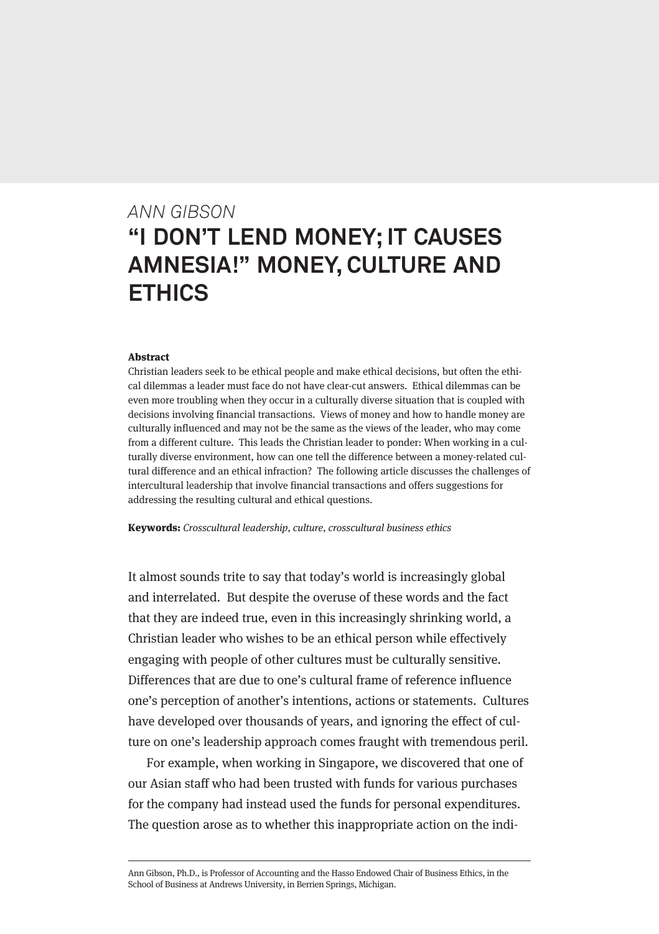# *ANN GIBSON* **"I DON'T LEND MONEY; IT CAUSES AMNESIA!" MONEY, CULTURE AND ETHICS**

#### Abstract

Christian leaders seek to be ethical people and make ethical decisions, but often the ethical dilemmas a leader must face do not have clear-cut answers. Ethical dilemmas can be even more troubling when they occur in a culturally diverse situation that is coupled with decisions involving financial transactions. Views of money and how to handle money are culturally influenced and may not be the same as the views of the leader, who may come from a different culture. This leads the Christian leader to ponder: When working in a culturally diverse environment, how can one tell the difference between a money-related cultural difference and an ethical infraction? The following article discusses the challenges of intercultural leadership that involve financial transactions and offers suggestions for addressing the resulting cultural and ethical questions.

Keywords: Crosscultural leadership, culture, crosscultural business ethics

It almost sounds trite to say that today's world is increasingly global and interrelated. But despite the overuse of these words and the fact that they are indeed true, even in this increasingly shrinking world, a Christian leader who wishes to be an ethical person while effectively engaging with people of other cultures must be culturally sensitive. Differences that are due to one's cultural frame of reference influence one's perception of another's intentions, actions or statements. Cultures have developed over thousands of years, and ignoring the effect of culture on one's leadership approach comes fraught with tremendous peril.

For example, when working in Singapore, we discovered that one of our Asian staff who had been trusted with funds for various purchases for the company had instead used the funds for personal expenditures. The question arose as to whether this inappropriate action on the indi-

Ann Gibson, Ph.D., is Professor of Accounting and the Hasso Endowed Chair of Business Ethics, in the School of Business at Andrews University, in Berrien Springs, Michigan.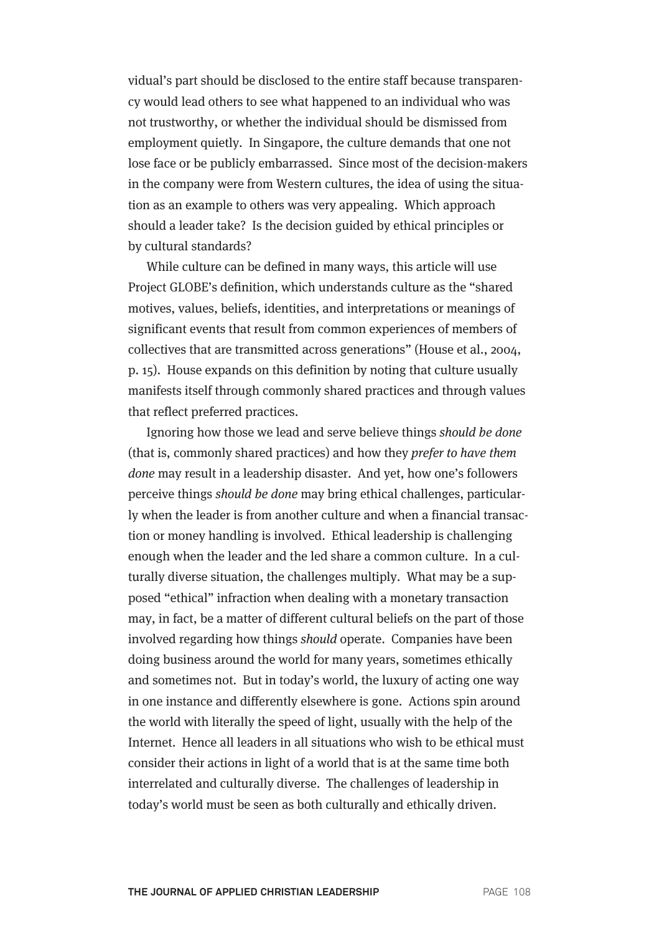vidual's part should be disclosed to the entire staff because transparency would lead others to see what happened to an individual who was not trustworthy, or whether the individual should be dismissed from employment quietly. In Singapore, the culture demands that one not lose face or be publicly embarrassed. Since most of the decision-makers in the company were from Western cultures, the idea of using the situation as an example to others was very appealing. Which approach should a leader take? Is the decision guided by ethical principles or by cultural standards?

While culture can be defined in many ways, this article will use Project GLOBE's definition, which understands culture as the "shared motives, values, beliefs, identities, and interpretations or meanings of significant events that result from common experiences of members of collectives that are transmitted across generations" (House et al., 2004, p. 15). House expands on this definition by noting that culture usually manifests itself through commonly shared practices and through values that reflect preferred practices.

Ignoring how those we lead and serve believe things should be done (that is, commonly shared practices) and how they prefer to have them done may result in a leadership disaster. And yet, how one's followers perceive things should be done may bring ethical challenges, particularly when the leader is from another culture and when a financial transaction or money handling is involved. Ethical leadership is challenging enough when the leader and the led share a common culture. In a culturally diverse situation, the challenges multiply. What may be a supposed "ethical" infraction when dealing with a monetary transaction may, in fact, be a matter of different cultural beliefs on the part of those involved regarding how things should operate. Companies have been doing business around the world for many years, sometimes ethically and sometimes not. But in today's world, the luxury of acting one way in one instance and differently elsewhere is gone. Actions spin around the world with literally the speed of light, usually with the help of the Internet. Hence all leaders in all situations who wish to be ethical must consider their actions in light of a world that is at the same time both interrelated and culturally diverse. The challenges of leadership in today's world must be seen as both culturally and ethically driven.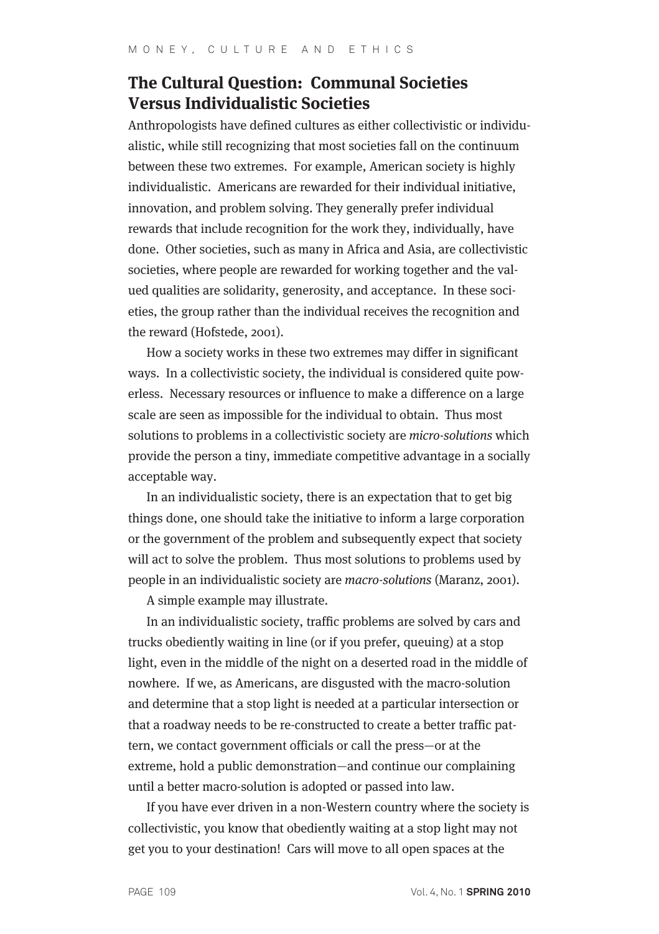# **The Cultural Question: Communal Societies Versus Individualistic Societies**

Anthropologists have defined cultures as either collectivistic or individualistic, while still recognizing that most societies fall on the continuum between these two extremes. For example, American society is highly individualistic. Americans are rewarded for their individual initiative, innovation, and problem solving. They generally prefer individual rewards that include recognition for the work they, individually, have done. Other societies, such as many in Africa and Asia, are collectivistic societies, where people are rewarded for working together and the valued qualities are solidarity, generosity, and acceptance. In these societies, the group rather than the individual receives the recognition and the reward (Hofstede, 2001).

How a society works in these two extremes may differ in significant ways. In a collectivistic society, the individual is considered quite powerless. Necessary resources or influence to make a difference on a large scale are seen as impossible for the individual to obtain. Thus most solutions to problems in a collectivistic society are micro-solutions which provide the person a tiny, immediate competitive advantage in a socially acceptable way.

In an individualistic society, there is an expectation that to get big things done, one should take the initiative to inform a large corporation or the government of the problem and subsequently expect that society will act to solve the problem. Thus most solutions to problems used by people in an individualistic society are macro-solutions (Maranz, 2001).

A simple example may illustrate.

In an individualistic society, traffic problems are solved by cars and trucks obediently waiting in line (or if you prefer, queuing) at a stop light, even in the middle of the night on a deserted road in the middle of nowhere. If we, as Americans, are disgusted with the macro-solution and determine that a stop light is needed at a particular intersection or that a roadway needs to be re-constructed to create a better traffic pattern, we contact government officials or call the press—or at the extreme, hold a public demonstration—and continue our complaining until a better macro-solution is adopted or passed into law.

If you have ever driven in a non-Western country where the society is collectivistic, you know that obediently waiting at a stop light may not get you to your destination! Cars will move to all open spaces at the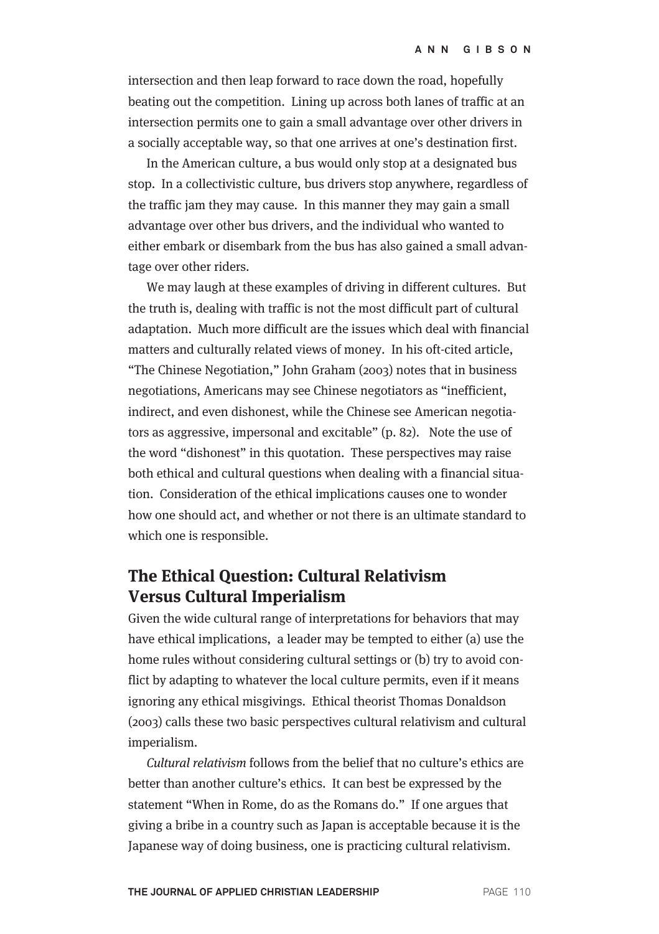intersection and then leap forward to race down the road, hopefully beating out the competition. Lining up across both lanes of traffic at an intersection permits one to gain a small advantage over other drivers in a socially acceptable way, so that one arrives at one's destination first.

In the American culture, a bus would only stop at a designated bus stop. In a collectivistic culture, bus drivers stop anywhere, regardless of the traffic jam they may cause. In this manner they may gain a small advantage over other bus drivers, and the individual who wanted to either embark or disembark from the bus has also gained a small advantage over other riders.

We may laugh at these examples of driving in different cultures. But the truth is, dealing with traffic is not the most difficult part of cultural adaptation. Much more difficult are the issues which deal with financial matters and culturally related views of money. In his oft-cited article, "The Chinese Negotiation," John Graham (2003) notes that in business negotiations, Americans may see Chinese negotiators as "inefficient, indirect, and even dishonest, while the Chinese see American negotiators as aggressive, impersonal and excitable" (p. 82). Note the use of the word "dishonest" in this quotation. These perspectives may raise both ethical and cultural questions when dealing with a financial situation. Consideration of the ethical implications causes one to wonder how one should act, and whether or not there is an ultimate standard to which one is responsible.

# **The Ethical Question: Cultural Relativism Versus Cultural Imperialism**

Given the wide cultural range of interpretations for behaviors that may have ethical implications, a leader may be tempted to either (a) use the home rules without considering cultural settings or (b) try to avoid conflict by adapting to whatever the local culture permits, even if it means ignoring any ethical misgivings. Ethical theorist Thomas Donaldson (2003) calls these two basic perspectives cultural relativism and cultural imperialism.

Cultural relativism follows from the belief that no culture's ethics are better than another culture's ethics. It can best be expressed by the statement "When in Rome, do as the Romans do." If one argues that giving a bribe in a country such as Japan is acceptable because it is the Japanese way of doing business, one is practicing cultural relativism.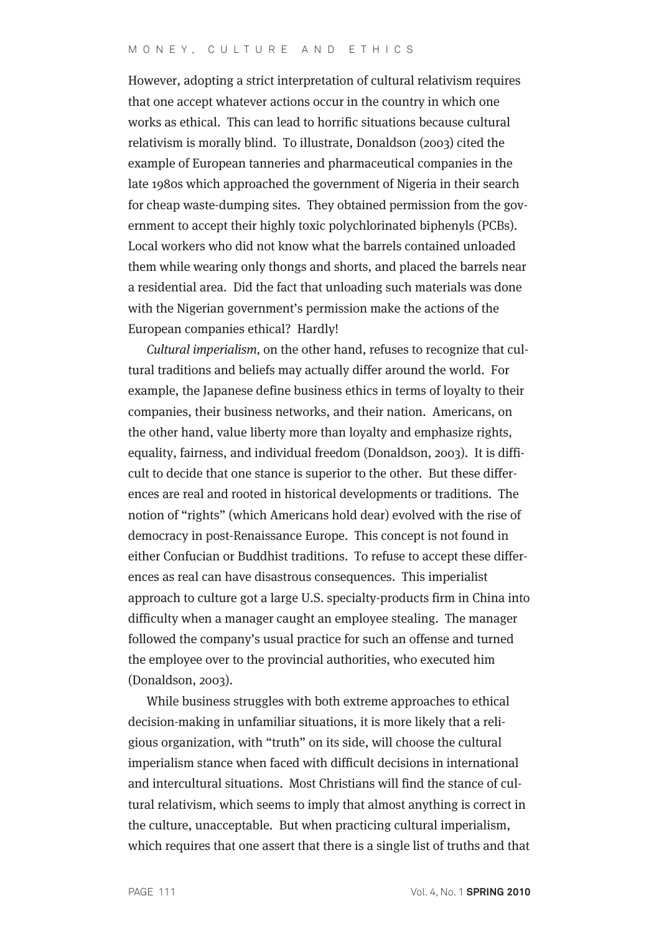However, adopting a strict interpretation of cultural relativism requires that one accept whatever actions occur in the country in which one works as ethical. This can lead to horrific situations because cultural relativism is morally blind. To illustrate, Donaldson (2003) cited the example of European tanneries and pharmaceutical companies in the late 1980s which approached the government of Nigeria in their search for cheap waste-dumping sites. They obtained permission from the government to accept their highly toxic polychlorinated biphenyls (PCBs). Local workers who did not know what the barrels contained unloaded them while wearing only thongs and shorts, and placed the barrels near a residential area. Did the fact that unloading such materials was done with the Nigerian government's permission make the actions of the European companies ethical? Hardly!

Cultural imperialism, on the other hand, refuses to recognize that cultural traditions and beliefs may actually differ around the world. For example, the Japanese define business ethics in terms of loyalty to their companies, their business networks, and their nation. Americans, on the other hand, value liberty more than loyalty and emphasize rights, equality, fairness, and individual freedom (Donaldson, 2003). It is difficult to decide that one stance is superior to the other. But these differences are real and rooted in historical developments or traditions. The notion of "rights" (which Americans hold dear) evolved with the rise of democracy in post-Renaissance Europe. This concept is not found in either Confucian or Buddhist traditions. To refuse to accept these differences as real can have disastrous consequences. This imperialist approach to culture got a large U.S. specialty-products firm in China into difficulty when a manager caught an employee stealing. The manager followed the company's usual practice for such an offense and turned the employee over to the provincial authorities, who executed him (Donaldson, 2003).

While business struggles with both extreme approaches to ethical decision-making in unfamiliar situations, it is more likely that a religious organization, with "truth" on its side, will choose the cultural imperialism stance when faced with difficult decisions in international and intercultural situations. Most Christians will find the stance of cultural relativism, which seems to imply that almost anything is correct in the culture, unacceptable. But when practicing cultural imperialism, which requires that one assert that there is a single list of truths and that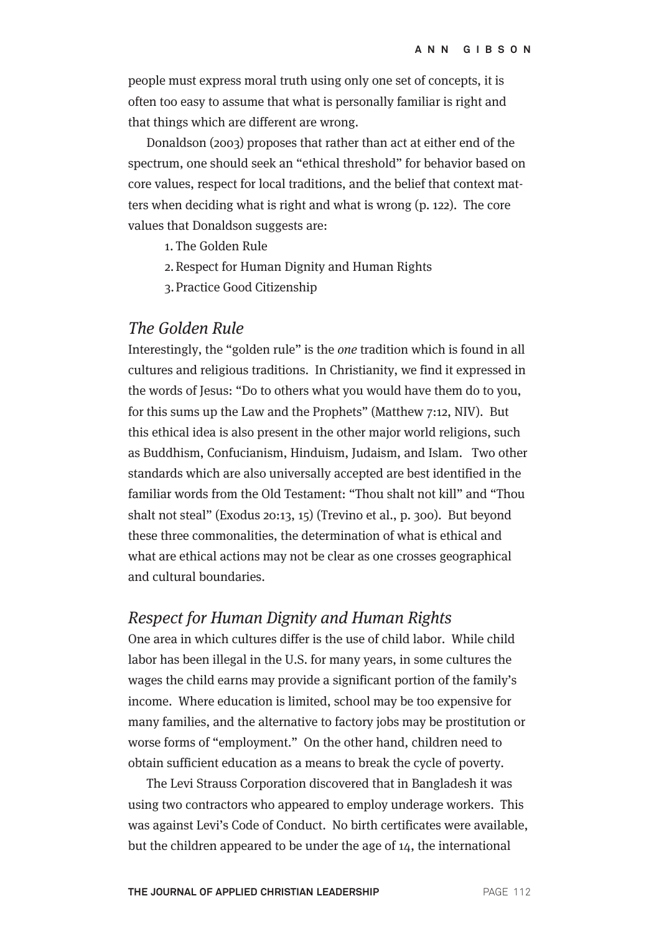people must express moral truth using only one set of concepts, it is often too easy to assume that what is personally familiar is right and that things which are different are wrong.

Donaldson (2003) proposes that rather than act at either end of the spectrum, one should seek an "ethical threshold" for behavior based on core values, respect for local traditions, and the belief that context matters when deciding what is right and what is wrong (p. 122). The core values that Donaldson suggests are:

- 1. The Golden Rule
- 2. Respect for Human Dignity and Human Rights
- 3. Practice Good Citizenship

### The Golden Rule

Interestingly, the "golden rule" is the one tradition which is found in all cultures and religious traditions. In Christianity, we find it expressed in the words of Jesus: "Do to others what you would have them do to you, for this sums up the Law and the Prophets" (Matthew 7:12, NIV). But this ethical idea is also present in the other major world religions, such as Buddhism, Confucianism, Hinduism, Judaism, and Islam. Two other standards which are also universally accepted are best identified in the familiar words from the Old Testament: "Thou shalt not kill" and "Thou shalt not steal" (Exodus 20:13, 15) (Trevino et al., p. 300). But beyond these three commonalities, the determination of what is ethical and what are ethical actions may not be clear as one crosses geographical and cultural boundaries.

#### Respect for Human Dignity and Human Rights

One area in which cultures differ is the use of child labor. While child labor has been illegal in the U.S. for many years, in some cultures the wages the child earns may provide a significant portion of the family's income. Where education is limited, school may be too expensive for many families, and the alternative to factory jobs may be prostitution or worse forms of "employment." On the other hand, children need to obtain sufficient education as a means to break the cycle of poverty.

The Levi Strauss Corporation discovered that in Bangladesh it was using two contractors who appeared to employ underage workers. This was against Levi's Code of Conduct. No birth certificates were available, but the children appeared to be under the age of 14, the international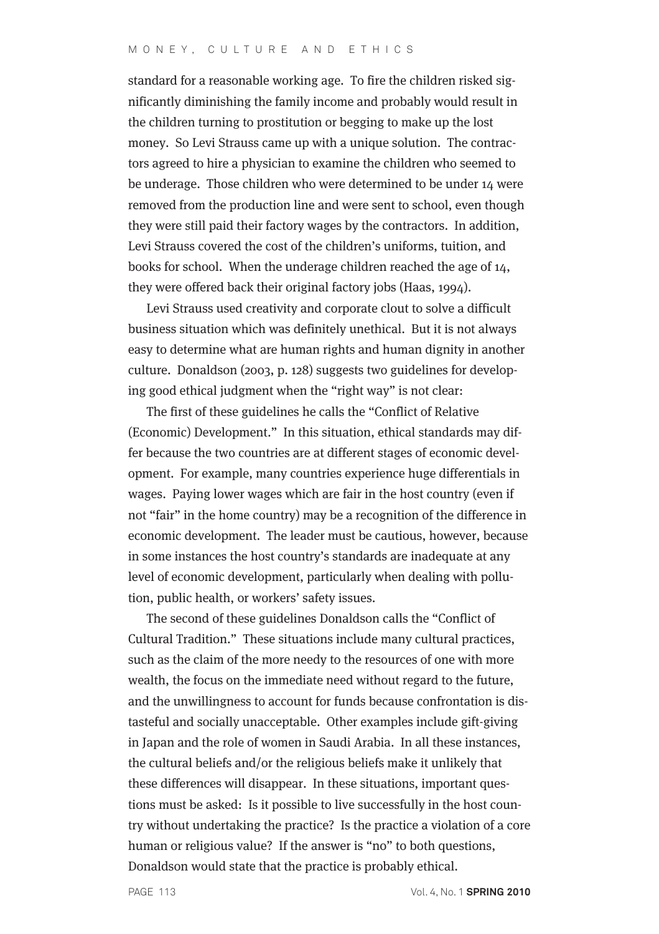standard for a reasonable working age. To fire the children risked significantly diminishing the family income and probably would result in the children turning to prostitution or begging to make up the lost money. So Levi Strauss came up with a unique solution. The contractors agreed to hire a physician to examine the children who seemed to be underage. Those children who were determined to be under 14 were removed from the production line and were sent to school, even though they were still paid their factory wages by the contractors. In addition, Levi Strauss covered the cost of the children's uniforms, tuition, and books for school. When the underage children reached the age of 14, they were offered back their original factory jobs (Haas, 1994).

Levi Strauss used creativity and corporate clout to solve a difficult business situation which was definitely unethical. But it is not always easy to determine what are human rights and human dignity in another culture. Donaldson (2003, p. 128) suggests two guidelines for developing good ethical judgment when the "right way" is not clear:

The first of these guidelines he calls the "Conflict of Relative (Economic) Development." In this situation, ethical standards may differ because the two countries are at different stages of economic development. For example, many countries experience huge differentials in wages. Paying lower wages which are fair in the host country (even if not "fair" in the home country) may be a recognition of the difference in economic development. The leader must be cautious, however, because in some instances the host country's standards are inadequate at any level of economic development, particularly when dealing with pollution, public health, or workers' safety issues.

The second of these guidelines Donaldson calls the "Conflict of Cultural Tradition." These situations include many cultural practices, such as the claim of the more needy to the resources of one with more wealth, the focus on the immediate need without regard to the future, and the unwillingness to account for funds because confrontation is distasteful and socially unacceptable. Other examples include gift-giving in Japan and the role of women in Saudi Arabia. In all these instances, the cultural beliefs and/or the religious beliefs make it unlikely that these differences will disappear. In these situations, important questions must be asked: Is it possible to live successfully in the host country without undertaking the practice? Is the practice a violation of a core human or religious value? If the answer is "no" to both questions, Donaldson would state that the practice is probably ethical.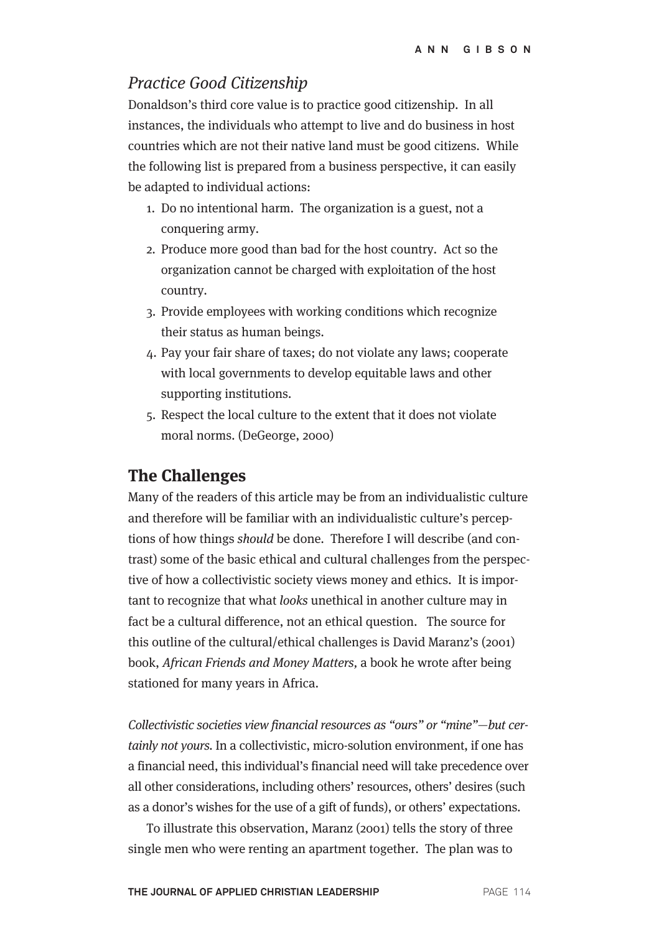## Practice Good Citizenship

Donaldson's third core value is to practice good citizenship. In all instances, the individuals who attempt to live and do business in host countries which are not their native land must be good citizens. While the following list is prepared from a business perspective, it can easily be adapted to individual actions:

- 1. Do no intentional harm. The organization is a guest, not a conquering army.
- 2. Produce more good than bad for the host country. Act so the organization cannot be charged with exploitation of the host country.
- 3. Provide employees with working conditions which recognize their status as human beings.
- 4. Pay your fair share of taxes; do not violate any laws; cooperate with local governments to develop equitable laws and other supporting institutions.
- 5. Respect the local culture to the extent that it does not violate moral norms. (DeGeorge, 2000)

# **The Challenges**

Many of the readers of this article may be from an individualistic culture and therefore will be familiar with an individualistic culture's perceptions of how things should be done. Therefore I will describe (and contrast) some of the basic ethical and cultural challenges from the perspective of how a collectivistic society views money and ethics. It is important to recognize that what looks unethical in another culture may in fact be a cultural difference, not an ethical question. The source for this outline of the cultural/ethical challenges is David Maranz's (2001) book, African Friends and Money Matters, a book he wrote after being stationed for many years in Africa.

Collectivistic societies view financial resources as "ours" or "mine"—but certainly not yours. In a collectivistic, micro-solution environment, if one has a financial need, this individual's financial need will take precedence over all other considerations, including others' resources, others' desires (such as a donor's wishes for the use of a gift of funds), or others' expectations.

To illustrate this observation, Maranz (2001) tells the story of three single men who were renting an apartment together. The plan was to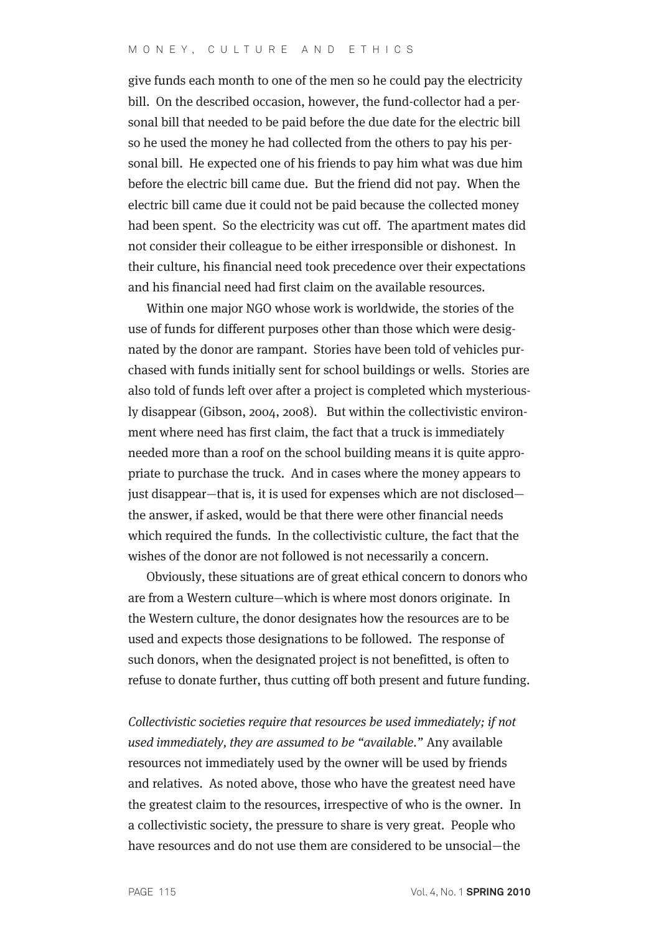give funds each month to one of the men so he could pay the electricity bill. On the described occasion, however, the fund-collector had a personal bill that needed to be paid before the due date for the electric bill so he used the money he had collected from the others to pay his personal bill. He expected one of his friends to pay him what was due him before the electric bill came due. But the friend did not pay. When the electric bill came due it could not be paid because the collected money had been spent. So the electricity was cut off. The apartment mates did not consider their colleague to be either irresponsible or dishonest. In their culture, his financial need took precedence over their expectations and his financial need had first claim on the available resources.

Within one major NGO whose work is worldwide, the stories of the use of funds for different purposes other than those which were designated by the donor are rampant. Stories have been told of vehicles purchased with funds initially sent for school buildings or wells. Stories are also told of funds left over after a project is completed which mysteriously disappear (Gibson, 2004, 2008). But within the collectivistic environment where need has first claim, the fact that a truck is immediately needed more than a roof on the school building means it is quite appropriate to purchase the truck. And in cases where the money appears to just disappear—that is, it is used for expenses which are not disclosed the answer, if asked, would be that there were other financial needs which required the funds. In the collectivistic culture, the fact that the wishes of the donor are not followed is not necessarily a concern.

Obviously, these situations are of great ethical concern to donors who are from a Western culture—which is where most donors originate. In the Western culture, the donor designates how the resources are to be used and expects those designations to be followed. The response of such donors, when the designated project is not benefitted, is often to refuse to donate further, thus cutting off both present and future funding.

Collectivistic societies require that resources be used immediately; if not used immediately, they are assumed to be "available." Any available resources not immediately used by the owner will be used by friends and relatives. As noted above, those who have the greatest need have the greatest claim to the resources, irrespective of who is the owner. In a collectivistic society, the pressure to share is very great. People who have resources and do not use them are considered to be unsocial—the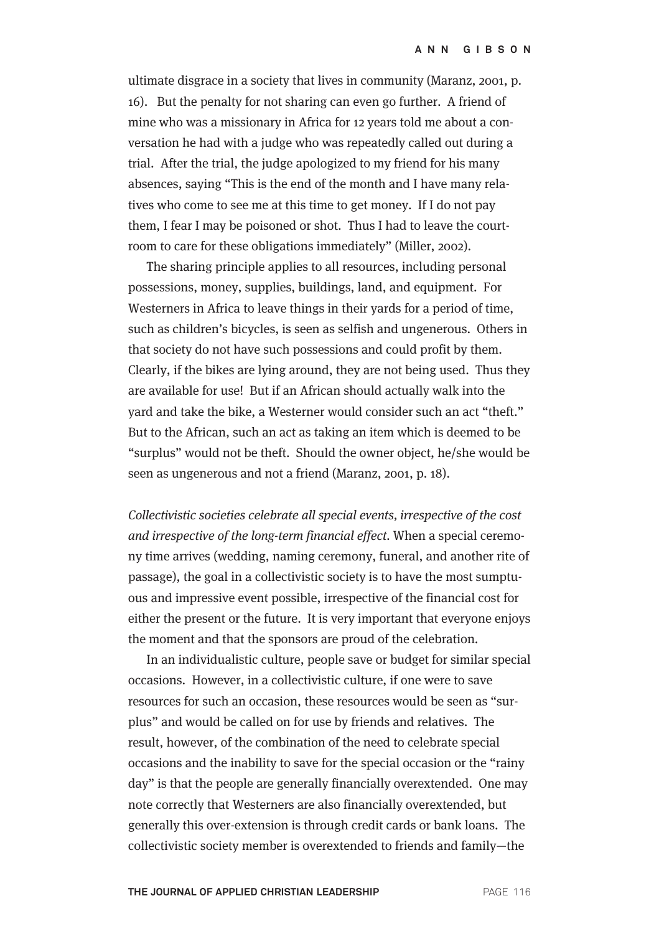ultimate disgrace in a society that lives in community (Maranz, 2001, p. 16). But the penalty for not sharing can even go further. A friend of mine who was a missionary in Africa for 12 years told me about a conversation he had with a judge who was repeatedly called out during a trial. After the trial, the judge apologized to my friend for his many absences, saying "This is the end of the month and I have many relatives who come to see me at this time to get money. If I do not pay them, I fear I may be poisoned or shot. Thus I had to leave the courtroom to care for these obligations immediately" (Miller, 2002).

The sharing principle applies to all resources, including personal possessions, money, supplies, buildings, land, and equipment. For Westerners in Africa to leave things in their yards for a period of time, such as children's bicycles, is seen as selfish and ungenerous. Others in that society do not have such possessions and could profit by them. Clearly, if the bikes are lying around, they are not being used. Thus they are available for use! But if an African should actually walk into the yard and take the bike, a Westerner would consider such an act "theft." But to the African, such an act as taking an item which is deemed to be "surplus" would not be theft. Should the owner object, he/she would be seen as ungenerous and not a friend (Maranz, 2001, p. 18).

Collectivistic societies celebrate all special events, irrespective of the cost and irrespective of the long-term financial effect. When a special ceremony time arrives (wedding, naming ceremony, funeral, and another rite of passage), the goal in a collectivistic society is to have the most sumptuous and impressive event possible, irrespective of the financial cost for either the present or the future. It is very important that everyone enjoys the moment and that the sponsors are proud of the celebration.

In an individualistic culture, people save or budget for similar special occasions. However, in a collectivistic culture, if one were to save resources for such an occasion, these resources would be seen as "surplus" and would be called on for use by friends and relatives. The result, however, of the combination of the need to celebrate special occasions and the inability to save for the special occasion or the "rainy day" is that the people are generally financially overextended. One may note correctly that Westerners are also financially overextended, but generally this over-extension is through credit cards or bank loans. The collectivistic society member is overextended to friends and family—the

**THE JOURNAL OF APPLIED CHRISTIAN LEADERSHIP** PAGE 116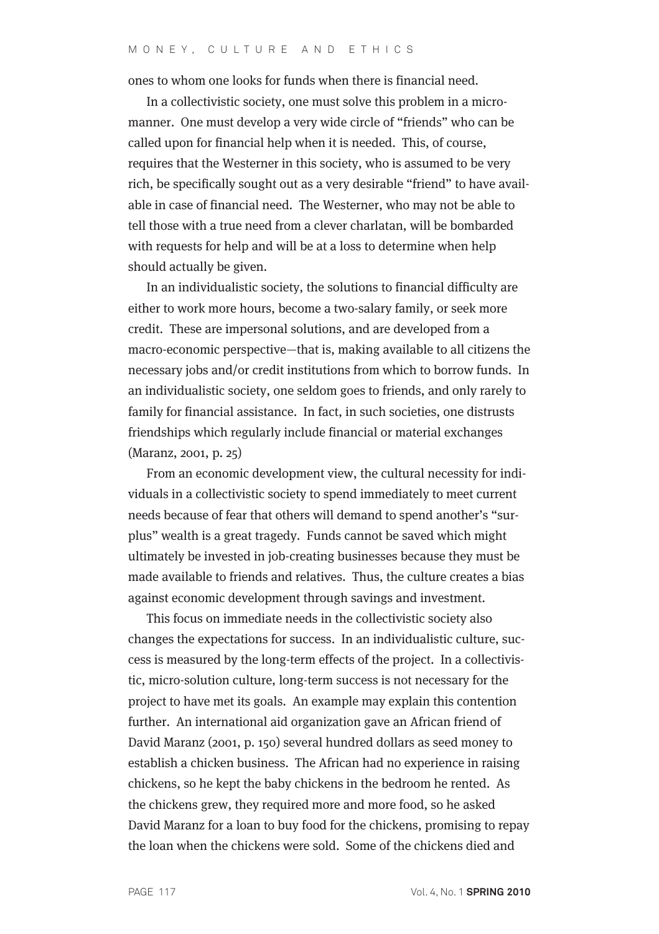ones to whom one looks for funds when there is financial need.

In a collectivistic society, one must solve this problem in a micromanner. One must develop a very wide circle of "friends" who can be called upon for financial help when it is needed. This, of course, requires that the Westerner in this society, who is assumed to be very rich, be specifically sought out as a very desirable "friend" to have available in case of financial need. The Westerner, who may not be able to tell those with a true need from a clever charlatan, will be bombarded with requests for help and will be at a loss to determine when help should actually be given.

In an individualistic society, the solutions to financial difficulty are either to work more hours, become a two-salary family, or seek more credit. These are impersonal solutions, and are developed from a macro-economic perspective—that is, making available to all citizens the necessary jobs and/or credit institutions from which to borrow funds. In an individualistic society, one seldom goes to friends, and only rarely to family for financial assistance. In fact, in such societies, one distrusts friendships which regularly include financial or material exchanges (Maranz, 2001, p. 25)

From an economic development view, the cultural necessity for individuals in a collectivistic society to spend immediately to meet current needs because of fear that others will demand to spend another's "surplus" wealth is a great tragedy. Funds cannot be saved which might ultimately be invested in job-creating businesses because they must be made available to friends and relatives. Thus, the culture creates a bias against economic development through savings and investment.

This focus on immediate needs in the collectivistic society also changes the expectations for success. In an individualistic culture, success is measured by the long-term effects of the project. In a collectivistic, micro-solution culture, long-term success is not necessary for the project to have met its goals. An example may explain this contention further. An international aid organization gave an African friend of David Maranz (2001, p. 150) several hundred dollars as seed money to establish a chicken business. The African had no experience in raising chickens, so he kept the baby chickens in the bedroom he rented. As the chickens grew, they required more and more food, so he asked David Maranz for a loan to buy food for the chickens, promising to repay the loan when the chickens were sold. Some of the chickens died and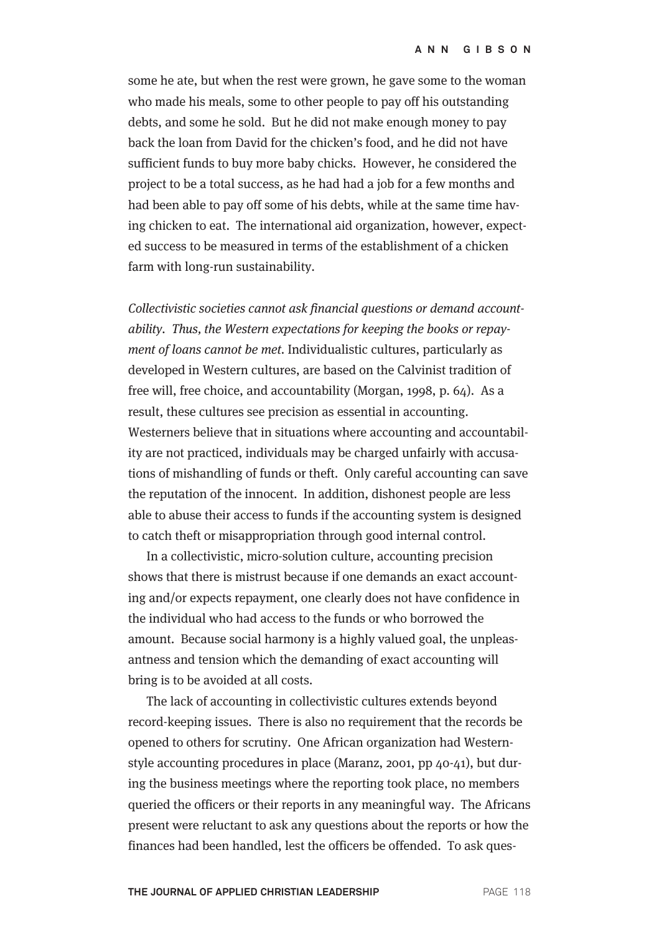some he ate, but when the rest were grown, he gave some to the woman who made his meals, some to other people to pay off his outstanding debts, and some he sold. But he did not make enough money to pay back the loan from David for the chicken's food, and he did not have sufficient funds to buy more baby chicks. However, he considered the project to be a total success, as he had had a job for a few months and had been able to pay off some of his debts, while at the same time having chicken to eat. The international aid organization, however, expected success to be measured in terms of the establishment of a chicken farm with long-run sustainability.

Collectivistic societies cannot ask financial questions or demand accountability. Thus, the Western expectations for keeping the books or repayment of loans cannot be met. Individualistic cultures, particularly as developed in Western cultures, are based on the Calvinist tradition of free will, free choice, and accountability (Morgan, 1998, p. 64). As a result, these cultures see precision as essential in accounting. Westerners believe that in situations where accounting and accountability are not practiced, individuals may be charged unfairly with accusations of mishandling of funds or theft. Only careful accounting can save the reputation of the innocent. In addition, dishonest people are less able to abuse their access to funds if the accounting system is designed to catch theft or misappropriation through good internal control.

In a collectivistic, micro-solution culture, accounting precision shows that there is mistrust because if one demands an exact accounting and/or expects repayment, one clearly does not have confidence in the individual who had access to the funds or who borrowed the amount. Because social harmony is a highly valued goal, the unpleasantness and tension which the demanding of exact accounting will bring is to be avoided at all costs.

The lack of accounting in collectivistic cultures extends beyond record-keeping issues. There is also no requirement that the records be opened to others for scrutiny. One African organization had Westernstyle accounting procedures in place (Maranz, 2001, pp 40-41), but during the business meetings where the reporting took place, no members queried the officers or their reports in any meaningful way. The Africans present were reluctant to ask any questions about the reports or how the finances had been handled, lest the officers be offended. To ask ques-

**THE JOURNAL OF APPLIED CHRISTIAN LEADERSHIP** PAGE 118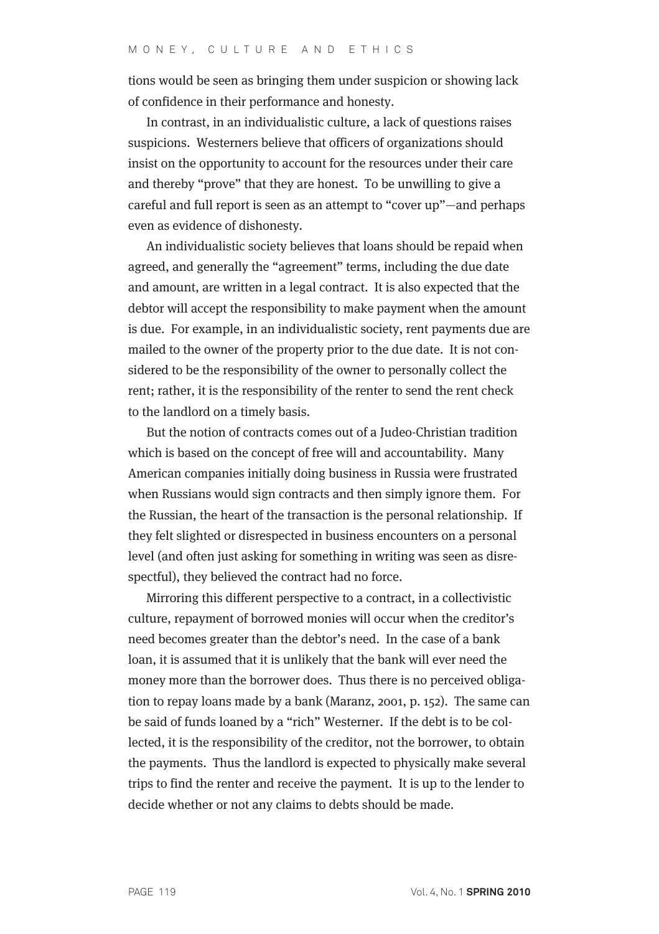tions would be seen as bringing them under suspicion or showing lack of confidence in their performance and honesty.

In contrast, in an individualistic culture, a lack of questions raises suspicions. Westerners believe that officers of organizations should insist on the opportunity to account for the resources under their care and thereby "prove" that they are honest. To be unwilling to give a careful and full report is seen as an attempt to "cover up"—and perhaps even as evidence of dishonesty.

An individualistic society believes that loans should be repaid when agreed, and generally the "agreement" terms, including the due date and amount, are written in a legal contract. It is also expected that the debtor will accept the responsibility to make payment when the amount is due. For example, in an individualistic society, rent payments due are mailed to the owner of the property prior to the due date. It is not considered to be the responsibility of the owner to personally collect the rent; rather, it is the responsibility of the renter to send the rent check to the landlord on a timely basis.

But the notion of contracts comes out of a Judeo-Christian tradition which is based on the concept of free will and accountability. Many American companies initially doing business in Russia were frustrated when Russians would sign contracts and then simply ignore them. For the Russian, the heart of the transaction is the personal relationship. If they felt slighted or disrespected in business encounters on a personal level (and often just asking for something in writing was seen as disrespectful), they believed the contract had no force.

Mirroring this different perspective to a contract, in a collectivistic culture, repayment of borrowed monies will occur when the creditor's need becomes greater than the debtor's need. In the case of a bank loan, it is assumed that it is unlikely that the bank will ever need the money more than the borrower does. Thus there is no perceived obligation to repay loans made by a bank (Maranz, 2001, p. 152). The same can be said of funds loaned by a "rich" Westerner. If the debt is to be collected, it is the responsibility of the creditor, not the borrower, to obtain the payments. Thus the landlord is expected to physically make several trips to find the renter and receive the payment. It is up to the lender to decide whether or not any claims to debts should be made.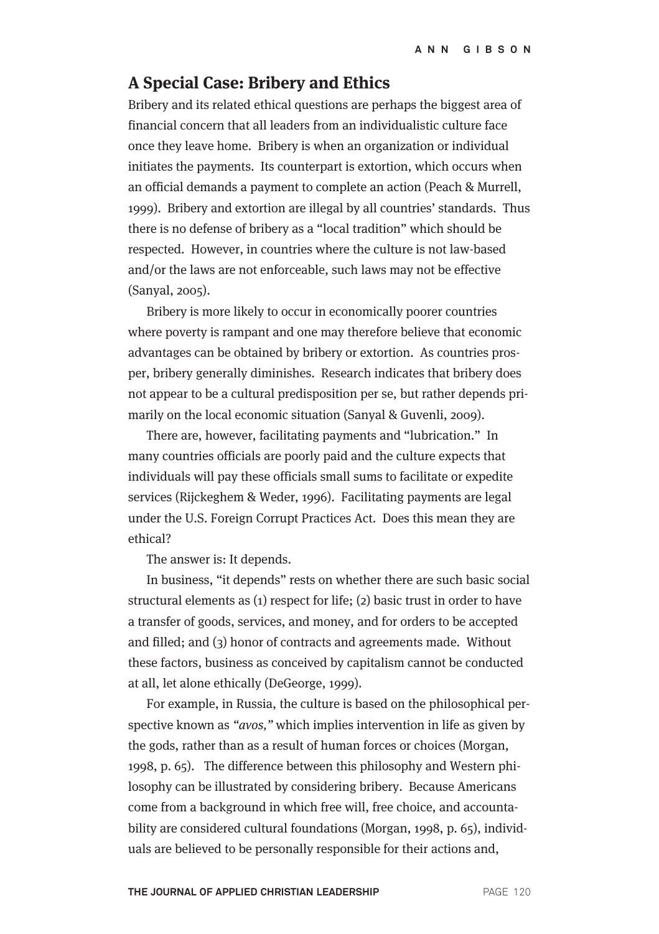# **A Special Case: Bribery and Ethics**

Bribery and its related ethical questions are perhaps the biggest area of financial concern that all leaders from an individualistic culture face once they leave home. Bribery is when an organization or individual initiates the payments. Its counterpart is extortion, which occurs when an official demands a payment to complete an action (Peach & Murrell, 1999). Bribery and extortion are illegal by all countries' standards. Thus there is no defense of bribery as a "local tradition" which should be respected. However, in countries where the culture is not law-based and/or the laws are not enforceable, such laws may not be effective (Sanyal, 2005).

Bribery is more likely to occur in economically poorer countries where poverty is rampant and one may therefore believe that economic advantages can be obtained by bribery or extortion. As countries prosper, bribery generally diminishes. Research indicates that bribery does not appear to be a cultural predisposition per se, but rather depends primarily on the local economic situation (Sanyal & Guvenli, 2009).

There are, however, facilitating payments and "lubrication." In many countries officials are poorly paid and the culture expects that individuals will pay these officials small sums to facilitate or expedite services (Rijckeghem & Weder, 1996). Facilitating payments are legal under the U.S. Foreign Corrupt Practices Act. Does this mean they are ethical?

The answer is: It depends.

In business, "it depends" rests on whether there are such basic social structural elements as (1) respect for life; (2) basic trust in order to have a transfer of goods, services, and money, and for orders to be accepted and filled; and (3) honor of contracts and agreements made. Without these factors, business as conceived by capitalism cannot be conducted at all, let alone ethically (DeGeorge, 1999).

For example, in Russia, the culture is based on the philosophical perspective known as "*avos*," which implies intervention in life as given by the gods, rather than as a result of human forces or choices (Morgan, 1998, p. 65). The difference between this philosophy and Western philosophy can be illustrated by considering bribery. Because Americans come from a background in which free will, free choice, and accountability are considered cultural foundations (Morgan, 1998, p. 65), individuals are believed to be personally responsible for their actions and,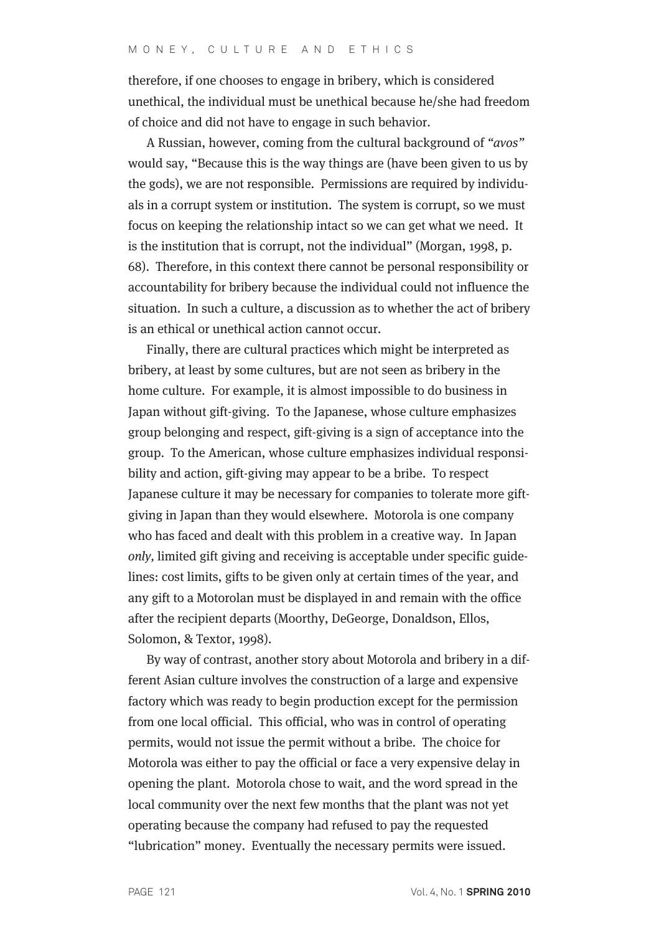therefore, if one chooses to engage in bribery, which is considered unethical, the individual must be unethical because he/she had freedom of choice and did not have to engage in such behavior.

A Russian, however, coming from the cultural background of "avos" would say, "Because this is the way things are (have been given to us by the gods), we are not responsible. Permissions are required by individuals in a corrupt system or institution. The system is corrupt, so we must focus on keeping the relationship intact so we can get what we need. It is the institution that is corrupt, not the individual" (Morgan, 1998, p. 68). Therefore, in this context there cannot be personal responsibility or accountability for bribery because the individual could not influence the situation. In such a culture, a discussion as to whether the act of bribery is an ethical or unethical action cannot occur.

Finally, there are cultural practices which might be interpreted as bribery, at least by some cultures, but are not seen as bribery in the home culture. For example, it is almost impossible to do business in Japan without gift-giving. To the Japanese, whose culture emphasizes group belonging and respect, gift-giving is a sign of acceptance into the group. To the American, whose culture emphasizes individual responsibility and action, gift-giving may appear to be a bribe. To respect Japanese culture it may be necessary for companies to tolerate more giftgiving in Japan than they would elsewhere. Motorola is one company who has faced and dealt with this problem in a creative way. In Japan only, limited gift giving and receiving is acceptable under specific guidelines: cost limits, gifts to be given only at certain times of the year, and any gift to a Motorolan must be displayed in and remain with the office after the recipient departs (Moorthy, DeGeorge, Donaldson, Ellos, Solomon, & Textor, 1998).

By way of contrast, another story about Motorola and bribery in a different Asian culture involves the construction of a large and expensive factory which was ready to begin production except for the permission from one local official. This official, who was in control of operating permits, would not issue the permit without a bribe. The choice for Motorola was either to pay the official or face a very expensive delay in opening the plant. Motorola chose to wait, and the word spread in the local community over the next few months that the plant was not yet operating because the company had refused to pay the requested "lubrication" money. Eventually the necessary permits were issued.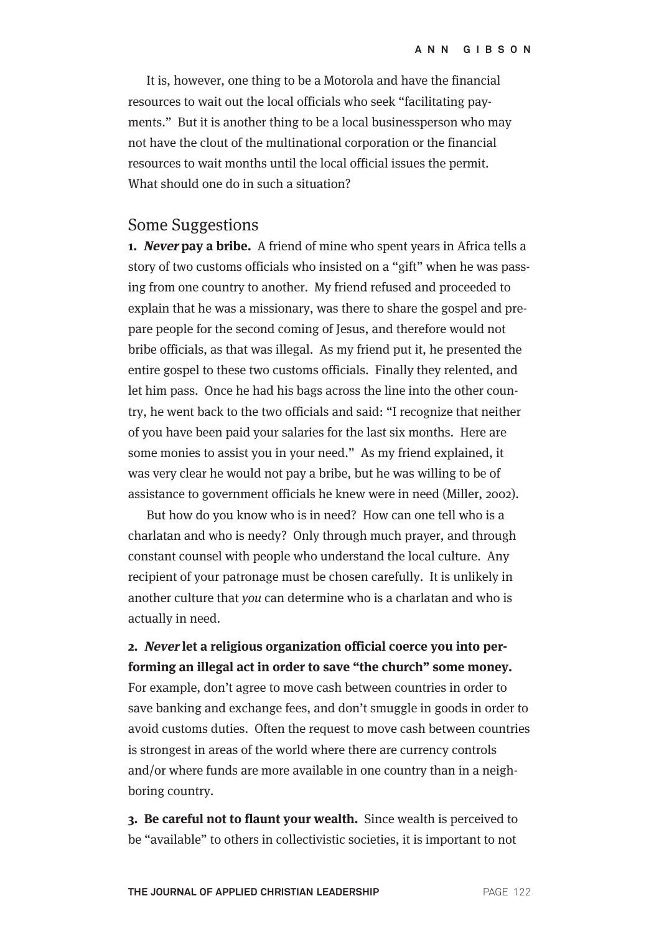It is, however, one thing to be a Motorola and have the financial resources to wait out the local officials who seek "facilitating payments." But it is another thing to be a local businessperson who may not have the clout of the multinational corporation or the financial resources to wait months until the local official issues the permit. What should one do in such a situation?

#### Some Suggestions

**1. Never pay a bribe.** A friend of mine who spent years in Africa tells a story of two customs officials who insisted on a "gift" when he was passing from one country to another. My friend refused and proceeded to explain that he was a missionary, was there to share the gospel and prepare people for the second coming of Jesus, and therefore would not bribe officials, as that was illegal. As my friend put it, he presented the entire gospel to these two customs officials. Finally they relented, and let him pass. Once he had his bags across the line into the other country, he went back to the two officials and said: "I recognize that neither of you have been paid your salaries for the last six months. Here are some monies to assist you in your need." As my friend explained, it was very clear he would not pay a bribe, but he was willing to be of assistance to government officials he knew were in need (Miller, 2002).

But how do you know who is in need? How can one tell who is a charlatan and who is needy? Only through much prayer, and through constant counsel with people who understand the local culture. Any recipient of your patronage must be chosen carefully. It is unlikely in another culture that you can determine who is a charlatan and who is actually in need.

### **2. Never let a religious organization official coerce you into performing an illegal act in order to save "the church" some money.**

For example, don't agree to move cash between countries in order to save banking and exchange fees, and don't smuggle in goods in order to avoid customs duties. Often the request to move cash between countries is strongest in areas of the world where there are currency controls and/or where funds are more available in one country than in a neighboring country.

**3. Be careful not to flaunt your wealth.** Since wealth is perceived to be "available" to others in collectivistic societies, it is important to not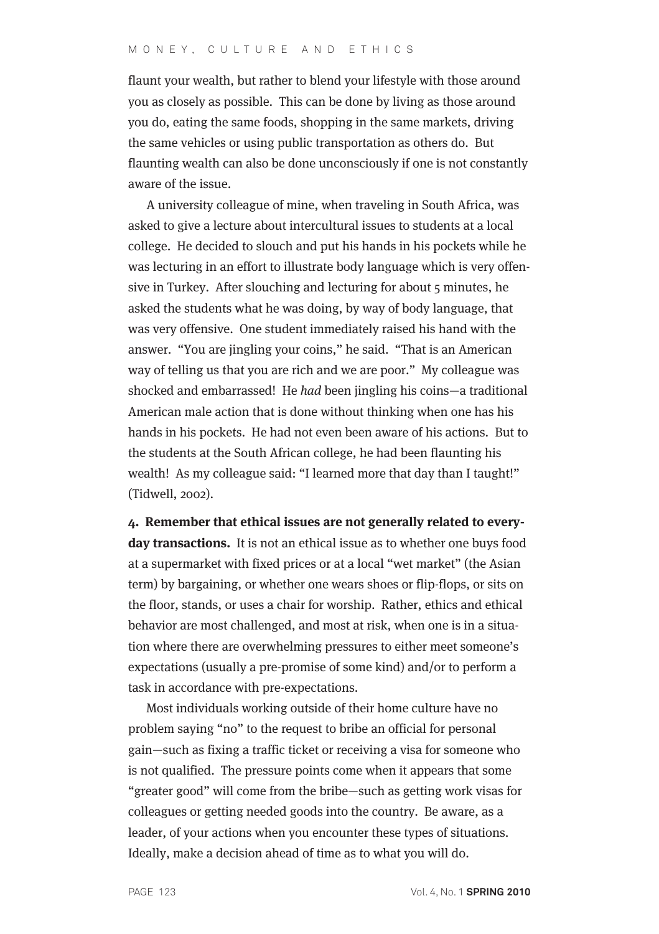#### M O N E Y, C U L T U R E A N D E T H I C S

flaunt your wealth, but rather to blend your lifestyle with those around you as closely as possible. This can be done by living as those around you do, eating the same foods, shopping in the same markets, driving the same vehicles or using public transportation as others do. But flaunting wealth can also be done unconsciously if one is not constantly aware of the issue.

A university colleague of mine, when traveling in South Africa, was asked to give a lecture about intercultural issues to students at a local college. He decided to slouch and put his hands in his pockets while he was lecturing in an effort to illustrate body language which is very offensive in Turkey. After slouching and lecturing for about 5 minutes, he asked the students what he was doing, by way of body language, that was very offensive. One student immediately raised his hand with the answer. "You are jingling your coins," he said. "That is an American way of telling us that you are rich and we are poor." My colleague was shocked and embarrassed! He had been jingling his coins—a traditional American male action that is done without thinking when one has his hands in his pockets. He had not even been aware of his actions. But to the students at the South African college, he had been flaunting his wealth! As my colleague said: "I learned more that day than I taught!" (Tidwell, 2002).

**4. Remember that ethical issues are not generally related to everyday transactions.** It is not an ethical issue as to whether one buys food at a supermarket with fixed prices or at a local "wet market" (the Asian term) by bargaining, or whether one wears shoes or flip-flops, or sits on the floor, stands, or uses a chair for worship. Rather, ethics and ethical behavior are most challenged, and most at risk, when one is in a situation where there are overwhelming pressures to either meet someone's expectations (usually a pre-promise of some kind) and/or to perform a task in accordance with pre-expectations.

Most individuals working outside of their home culture have no problem saying "no" to the request to bribe an official for personal gain—such as fixing a traffic ticket or receiving a visa for someone who is not qualified. The pressure points come when it appears that some "greater good" will come from the bribe—such as getting work visas for colleagues or getting needed goods into the country. Be aware, as a leader, of your actions when you encounter these types of situations. Ideally, make a decision ahead of time as to what you will do.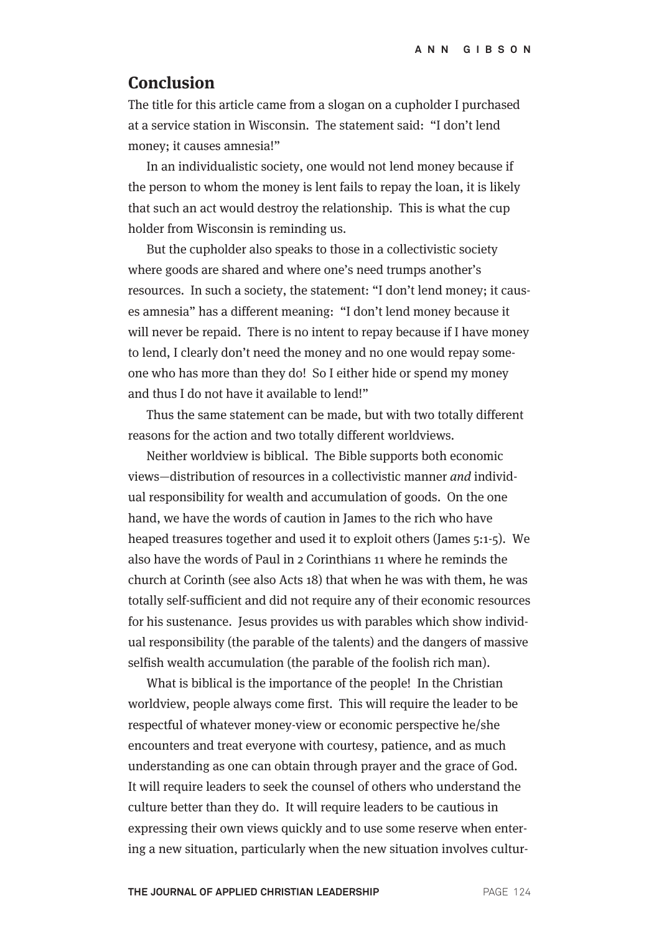### **Conclusion**

The title for this article came from a slogan on a cupholder I purchased at a service station in Wisconsin. The statement said: "I don't lend money; it causes amnesia!"

In an individualistic society, one would not lend money because if the person to whom the money is lent fails to repay the loan, it is likely that such an act would destroy the relationship. This is what the cup holder from Wisconsin is reminding us.

But the cupholder also speaks to those in a collectivistic society where goods are shared and where one's need trumps another's resources. In such a society, the statement: "I don't lend money; it causes amnesia" has a different meaning: "I don't lend money because it will never be repaid. There is no intent to repay because if I have money to lend, I clearly don't need the money and no one would repay someone who has more than they do! So I either hide or spend my money and thus I do not have it available to lend!"

Thus the same statement can be made, but with two totally different reasons for the action and two totally different worldviews.

Neither worldview is biblical. The Bible supports both economic views—distribution of resources in a collectivistic manner and individual responsibility for wealth and accumulation of goods. On the one hand, we have the words of caution in James to the rich who have heaped treasures together and used it to exploit others (James 5:1-5). We also have the words of Paul in 2 Corinthians 11 where he reminds the church at Corinth (see also Acts 18) that when he was with them, he was totally self-sufficient and did not require any of their economic resources for his sustenance. Jesus provides us with parables which show individual responsibility (the parable of the talents) and the dangers of massive selfish wealth accumulation (the parable of the foolish rich man).

What is biblical is the importance of the people! In the Christian worldview, people always come first. This will require the leader to be respectful of whatever money-view or economic perspective he/she encounters and treat everyone with courtesy, patience, and as much understanding as one can obtain through prayer and the grace of God. It will require leaders to seek the counsel of others who understand the culture better than they do. It will require leaders to be cautious in expressing their own views quickly and to use some reserve when entering a new situation, particularly when the new situation involves cultur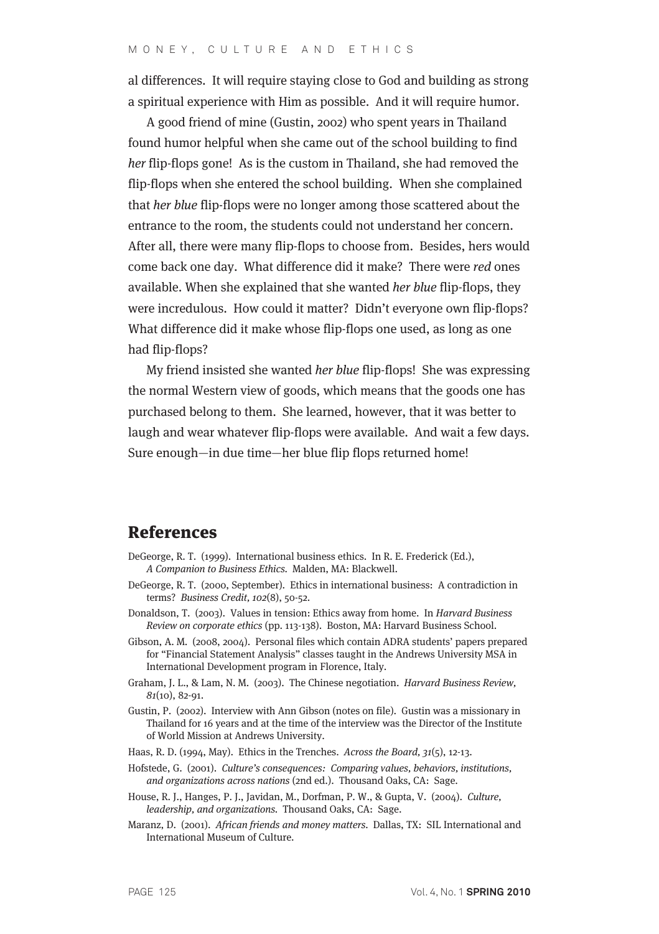al differences. It will require staying close to God and building as strong a spiritual experience with Him as possible. And it will require humor.

A good friend of mine (Gustin, 2002) who spent years in Thailand found humor helpful when she came out of the school building to find her flip-flops gone! As is the custom in Thailand, she had removed the flip-flops when she entered the school building. When she complained that her blue flip-flops were no longer among those scattered about the entrance to the room, the students could not understand her concern. After all, there were many flip-flops to choose from. Besides, hers would come back one day. What difference did it make? There were red ones available. When she explained that she wanted her blue flip-flops, they were incredulous. How could it matter? Didn't everyone own flip-flops? What difference did it make whose flip-flops one used, as long as one had flip-flops?

My friend insisted she wanted her blue flip-flops! She was expressing the normal Western view of goods, which means that the goods one has purchased belong to them. She learned, however, that it was better to laugh and wear whatever flip-flops were available. And wait a few days. Sure enough—in due time—her blue flip flops returned home!

### References

- DeGeorge, R. T. (1999). International business ethics. In R. E. Frederick (Ed.), A Companion to Business Ethics. Malden, MA: Blackwell.
- DeGeorge, R. T. (2000, September). Ethics in international business: A contradiction in terms? Business Credit, 102(8), 50-52.
- Donaldson, T. (2003). Values in tension: Ethics away from home. In Harvard Business Review on corporate ethics (pp. 113-138). Boston, MA: Harvard Business School.
- Gibson, A. M. (2008, 2004). Personal files which contain ADRA students' papers prepared for "Financial Statement Analysis" classes taught in the Andrews University MSA in International Development program in Florence, Italy.
- Graham, J. L., & Lam, N. M. (2003). The Chinese negotiation. Harvard Business Review, 81(10), 82-91.
- Gustin, P. (2002). Interview with Ann Gibson (notes on file). Gustin was a missionary in Thailand for 16 years and at the time of the interview was the Director of the Institute of World Mission at Andrews University.
- Haas, R. D. (1994, May). Ethics in the Trenches. Across the Board, 31(5), 12-13.
- Hofstede, G. (2001). Culture's consequences: Comparing values, behaviors, institutions, and organizations across nations (2nd ed.). Thousand Oaks, CA: Sage.
- House, R. J., Hanges, P. J., Javidan, M., Dorfman, P. W., & Gupta, V. (2004). Culture, leadership, and organizations. Thousand Oaks, CA: Sage.
- Maranz, D. (2001). African friends and money matters. Dallas, TX: SIL International and International Museum of Culture.